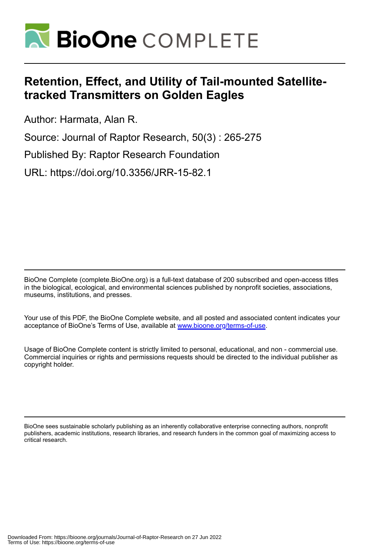

# **Retention, Effect, and Utility of Tail-mounted Satellitetracked Transmitters on Golden Eagles**

Author: Harmata, Alan R.

Source: Journal of Raptor Research, 50(3) : 265-275

Published By: Raptor Research Foundation

URL: https://doi.org/10.3356/JRR-15-82.1

BioOne Complete (complete.BioOne.org) is a full-text database of 200 subscribed and open-access titles in the biological, ecological, and environmental sciences published by nonprofit societies, associations, museums, institutions, and presses.

Your use of this PDF, the BioOne Complete website, and all posted and associated content indicates your acceptance of BioOne's Terms of Use, available at www.bioone.org/terms-of-use.

Usage of BioOne Complete content is strictly limited to personal, educational, and non - commercial use. Commercial inquiries or rights and permissions requests should be directed to the individual publisher as copyright holder.

BioOne sees sustainable scholarly publishing as an inherently collaborative enterprise connecting authors, nonprofit publishers, academic institutions, research libraries, and research funders in the common goal of maximizing access to critical research.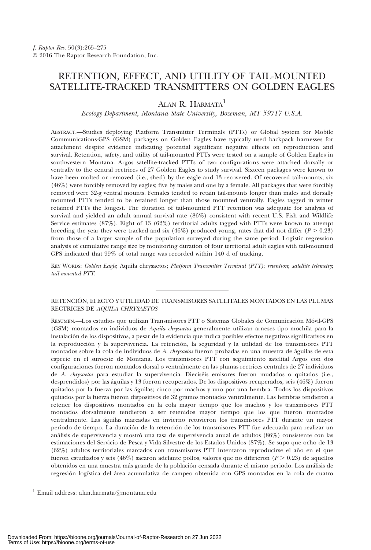## RETENTION, EFFECT, AND UTILITY OF TAIL-MOUNTED SATELLITE-TRACKED TRANSMITTERS ON GOLDEN EAGLES

### ALAN R. HARMATA<sup>1</sup>

Ecology Department, Montana State University, Bozeman, MT 59717 U.S.A.

ABSTRACT.—Studies deploying Platform Transmitter Terminals (PTTs) or Global System for Mobile Communications-GPS (GSM) packages on Golden Eagles have typically used backpack harnesses for attachment despite evidence indicating potential significant negative effects on reproduction and survival. Retention, safety, and utility of tail-mounted PTTs were tested on a sample of Golden Eagles in southwestern Montana. Argos satellite-tracked PTTs of two configurations were attached dorsally or ventrally to the central rectrices of 27 Golden Eagles to study survival. Sixteen packages were known to have been molted or removed (i.e., shed) by the eagle and 13 recovered. Of recovered tail-mounts, six (46%) were forcibly removed by eagles; five by males and one by a female. All packages that were forcibly removed were 32-g ventral mounts. Females tended to retain tail-mounts longer than males and dorsally mounted PTTs tended to be retained longer than those mounted ventrally. Eagles tagged in winter retained PTTs the longest. The duration of tail-mounted PTT retention was adequate for analysis of survival and yielded an adult annual survival rate (86%) consistent with recent U.S. Fish and Wildlife Service estimates (87%). Eight of 13 (62%) territorial adults tagged with PTTs were known to attempt breeding the year they were tracked and six (46%) produced young, rates that did not differ ( $P > 0.23$ ) from those of a larger sample of the population surveyed during the same period. Logistic regression analysis of cumulative range size by monitoring duration of four territorial adult eagles with tail-mounted GPS indicated that 99% of total range was recorded within 140 d of tracking.

KEY WORDS: Golden Eagle; Aquila chrysaetos; Platform Transmitter Terminal (PTT); retention; satellite telemetry; tail-mounted PTT.

#### RETENCIÓN, EFECTO Y UTILIDAD DE TRANSMISORES SATELITALES MONTADOS EN LAS PLUMAS RECTRICES DE AQUILA CHRYSAETOS

RESUMEN.—Los estudios que utilizan Transmisores PTT o Sistemas Globales de Comunicación Móvil-GPS (GSM) montados en individuos de Aquila chrysaetos generalmente utilizan arneses tipo mochila para la instalación de los dispositivos, a pesar de la evidencia que indica posibles efectos negativos significativos en la reproducción y la supervivencia. La retención, la seguridad y la utilidad de los transmisores PTT montados sobre la cola de individuos de A. chrysaetos fueron probadas en una muestra de águilas de esta especie en el suroeste de Montana. Los transmisores PTT con seguimiento satelital Argos con dos configuraciones fueron montados dorsal o ventralmente en las plumas rectrices centrales de 27 individuos de A. chrysaetos para estudiar la supervivencia. Dieciséis emisores fueron mudados o quitados (i.e., desprendidos) por las águilas y 13 fueron recuperados. De los dispositivos recuperados, seis (46%) fueron quitados por la fuerza por las águilas; cinco por machos y uno por una hembra. Todos los dispositivos quitados por la fuerza fueron dispositivos de 32 gramos montados ventralmente. Las hembras tendieron a retener los dispositivos montados en la cola mayor tiempo que los machos y los transmisores PTT montados dorsalmente tendieron a ser retenidos mayor tiempo que los que fueron montados ventralmente. Las a´guilas marcadas en invierno retuvieron los transmisores PTT durante un mayor periodo de tiempo. La duración de la retención de los transmisores PTT fue adecuada para realizar un análisis de supervivencia y mostró una tasa de supervivencia anual de adultos (86%) consistente con las estimaciones del Servicio de Pesca y Vida Silvestre de los Estados Unidos (87%). Se supo que ocho de 13 (62%) adultos territoriales marcados con transmisores PTT intentaron reproducirse el año en el que fueron estudiados y seis (46%) sacaron adelante pollos, valores que no difirieron ( $P > 0.23$ ) de aquellos obtenidos en una muestra más grande de la población censada durante el mismo periodo. Los análisis de regresión logística del área acumulativa de campeo obtenida con GPS montados en la cola de cuatro

 $1$  Email address: alan.harmata@montana.edu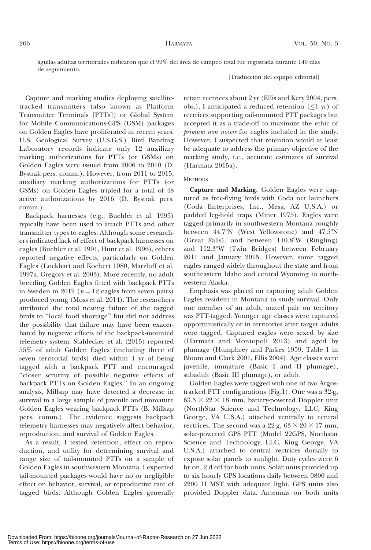águilas adultas territoriales indicaron que el 99% del área de campeo total fue registrada durante 140 días de seguimiento.

[Traducción del equipo editorial]

Capture and marking studies deploying satellitetracked transmitters (also known as Platform Transmitter Terminals [PTTs]) or Global System for Mobile Communications-GPS (GSM) packages on Golden Eagles have proliferated in recent years. U.S. Geological Survey (U.S.G.S.) Bird Banding Laboratory records indicate only 12 auxiliary marking authorizations for PTTs (or GSMs) on Golden Eagles were issued from 2006 to 2010 (D. Bystrak pers. comm.). However, from 2011 to 2015, auxiliary marking authorizations for PTTs (or GSMs) on Golden Eagles tripled for a total of 48 active authorizations by 2016 (D. Bystrak pers. comm.).

Backpack harnesses (e.g., Buehler et al. 1995) typically have been used to attach PTTs and other transmitter types to eagles. Although some researchers indicated lack of effect of backpack harnesses on eagles (Buehler et al. 1991, Hunt et al. 1996), others reported negative effects, particularly on Golden Eagles (Lockhart and Kochert 1980, Marzluff et al. 1997a, Gregory et al. 2003). More recently, no adult breeding Golden Eagles fitted with backpack PTTs in Sweden in 2012 ( $n = 12$  eagles from seven pairs) produced young (Moss et al. 2014). The researchers attributed the total nesting failure of the tagged birds to ''local food shortage'' but did not address the possibility that failure may have been exacerbated by negative effects of the backpack-mounted telemetry system. Stahlecker et al. (2015) reported 55% of adult Golden Eagles (including three of seven territorial birds) died within 1 yr of being tagged with a backpack PTT and encouraged ''closer scrutiny of possible negative effects of backpack PTTs on Golden Eagles.'' In an ongoing analysis, Millsap may have detected a decrease in survival in a large sample of juvenile and immature Golden Eagles wearing backpack PTTs (B. Millsap pers. comm.). The evidence suggests backpack telemetry harnesses may negatively affect behavior, reproduction, and survival of Golden Eagles.

As a result, I tested retention, effect on reproduction, and utility for determining survival and range size of tail-mounted PTTs on a sample of Golden Eagles in southwestern Montana. I expected tail-mounted packages would have no or negligible effect on behavior, survival, or reproductive rate of tagged birds. Although Golden Eagles generally

retain rectrices about 2 yr (Ellis and Kery 2004, pers. obs.), I anticipated a reduced retention  $(\leq 1$  yr) of rectrices supporting tail-mounted PTT packages but accepted it as a trade-off to maximize the ethic of primum non nocere for eagles included in the study. However, I suspected that retention would at least be adequate to address the primary objective of the marking study, i.e., accurate estimates of survival (Harmata 2015a).

#### **METHODS**

Capture and Marking. Golden Eagles were captured as free-flying birds with Coda net launchers (Coda Enterprises, Inc., Mesa, AZ U.S.A.) or padded leg-hold traps (Miner 1975). Eagles were tagged primarily in southwestern Montana roughly between 44.7°N (West Yellowstone) and 47.5°N (Great Falls), and between  $110.8^{\circ}$ W (Ringling) and 112.3°W (Twin Bridges) between February 2011 and January 2015. However, some tagged eagles ranged widely throughout the state and from southeastern Idaho and central Wyoming to northwestern Alaska.

Emphasis was placed on capturing adult Golden Eagles resident in Montana to study survival. Only one member of an adult, mated pair on territory was PTT-tagged. Younger age classes were captured opportunistically or in territories after target adults were tagged. Captured eagles were sexed by size (Harmata and Montopoli 2013) and aged by plumage (Humphrey and Parkes 1959; Table 1 in Bloom and Clark 2001, Ellis 2004). Age classes were juvenile, immature (Basic I and II plumage), subadult (Basic III plumage), or adult.

Golden Eagles were tagged with one of two Argostracked PTT configurations (Fig.1). One was a 32-g,  $63.5 \times 22 \times 18$  mm, battery-powered Doppler unit (NorthStar Science and Technology, LLC, King George, VA U.S.A.) attached ventrally to central rectrices. The second was a 22-g,  $63 \times 20 \times 17$  mm, solar-powered GPS PTT (Model 22GPS, Northstar Science and Technology, LLC, King George, VA U.S.A.) attached to central rectrices dorsally to expose solar panels to sunlight. Duty cycles were 6 hr on, 2 d off for both units. Solar units provided up to six hourly GPS locations daily between 0800 and 2200 H MST with adequate light. GPS units also provided Doppler data. Antennas on both units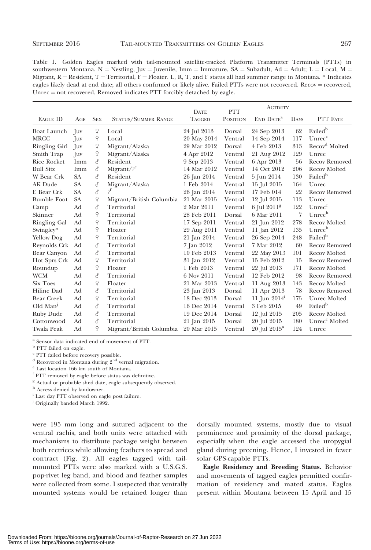Table 1. Golden Eagles marked with tail-mounted satellite-tracked Platform Transmitter Terminals (PTTs) in southwestern Montana. N = Nestling, Juv = Juvenile, Imm = Immature, SA = Subadult, Ad = Adult; L = Local, M = Migrant,  $R =$  Resident,  $T =$  Territorial,  $F =$  Floater. L, R, T, and F status all had summer range in Montana. \* Indicates eagles likely dead at end date; all others confirmed or likely alive. Failed PTTs were not recovered. Recov = recovered,  $Unrec = not recovered$ , Removed indicates PTT forcibly detached by eagle.

| <b>EAGLE ID</b>      | AGE                     | <b>SEX</b>   | STATUS/SUMMER RANGE      | <b>DATE</b><br><b>TAGGED</b> | <b>PTT</b><br><b>POSITION</b> | <b>ACTIVITY</b>       |             |                           |
|----------------------|-------------------------|--------------|--------------------------|------------------------------|-------------------------------|-----------------------|-------------|---------------------------|
|                      |                         |              |                          |                              |                               | END DATE <sup>a</sup> | <b>DAYS</b> | PTT FATE                  |
| Boat Launch          | <b>Tuv</b>              | ¥            | Local                    | 24 Jul 2013                  | Dorsal                        | 24 Sep 2013           | 62          | Failed <sup>b</sup>       |
| <b>MRCC</b>          | Juv                     | ¥            | Local                    | 20 May 2014                  | Ventral                       | 14 Sep 2014           | 117         | Uncec <sup>c</sup>        |
| Ringling Girl        | $\overline{\mathrm{u}}$ | ¥            | Migrant/Alaska           | 29 Mar 2012                  | Dorsal                        | 4 Feb 2013            | 313         | Recov <sup>d</sup> Molted |
| Smith Trap           | Juv                     | $\mathsf{P}$ | Migrant/Alaska           | 4 Apr 2012                   | Ventral                       | 21 Aug 2012           | 129         | Unrec                     |
| Rice Rocket          | Imm                     | 8            | Resident                 | 9 Sep 2013                   | Ventral                       | 6 Apr 2013            | 56          | <b>Recov Removed</b>      |
| <b>Bull Sitz</b>     | Imm                     | 8            | Migrant $/$ <sup>e</sup> | 14 Mar 2012                  | Ventral                       | 14 Oct 2012           | 206         | Recov Molted              |
| W Bear Crk           | <b>SA</b>               | 8            | Resident                 | 26 Jan 2014                  | Ventral                       | 5 Jun 2014            | 130         | Failed <sup>b</sup>       |
| AK Dude              | <b>SA</b>               | 3            | Migrant/Alaska           | 1 Feb 2014                   | Ventral                       | 15 Jul 2015           | 164         | Unrec                     |
| E Bear Crk           | <b>SA</b>               | 8            | ζf                       | 26 Jan 2014                  | Ventral                       | 17 Feb 014            | 22          | <b>Recov Removed</b>      |
| <b>Bumble Foot</b>   | <b>SA</b>               | ¥            | Migrant/British Columbia | 21 Mar 2015                  | Ventral                       | 12 Jul 2015           | 113         | Unrec                     |
| Camp                 | Ad                      | ♂            | Territorial              | 2 Mar 2011                   | Ventral                       | 6 Jul $2011g$         | 122         | Unrec <sup>c</sup>        |
| Skinner              | Ad                      | ¥            | Territorial              | 28 Feb 2011                  | Dorsal                        | 6 Mar 2011            | 7           | Unrech                    |
| Ringling Gal         | Ad                      | ¥            | Territorial              | 17 Sep 2011                  | Ventral                       | 21 Jun 2012           | 278         | <b>Recov Molted</b>       |
| Swingley*            | Ad                      | ¥            | Floater                  | 29 Aug 2011                  | Ventral                       | 11 Jan 2012           | 135         | Unrech                    |
| <b>Yellow Dog</b>    | Ad                      | ¥            | Territorial              | 21 Jan 2014                  | Ventral                       | 26 Sep 2014           | 248         | Failed <sup>b</sup>       |
| Reynolds Crk         | Ad                      | 8            | Territorial              | 7 Jan 2012                   | Ventral                       | 7 Mar 2012            | 60          | <b>Recov Removed</b>      |
| Bear Canyon          | Ad                      | 8            | Territorial              | 10 Feb 2013                  | Ventral                       | 22 May 2013           | 101         | <b>Recov Molted</b>       |
| Hot Sprs Crk         | Ad                      | ¥            | Territorial              | 31 Jan 2012                  | Ventral                       | 15 Feb 2012           | 15          | <b>Recov Removed</b>      |
| Roundup              | Ad                      | ¥            | Floater                  | 1 Feb 2013                   | Ventral                       | 22 Jul 2013           | 171         | <b>Recov Molted</b>       |
| <b>WCM</b>           | Ad                      | 8            | Territorial              | 6 Nov 2011                   | Ventral                       | 12 Feb 2012           | 98          | <b>Recov Removed</b>      |
| Six Toes             | Ad                      | ¥            | Floater                  | 21 Mar 2013                  | Ventral                       | 11 Aug 2013           | 143         | <b>Recov Molted</b>       |
| Hiline Dad           | Ad                      | 8            | Territorial              | 23 Jan 2013                  | Dorsal                        | 11 Apr 2013           | 78          | <b>Recov Removed</b>      |
| <b>Bear Creek</b>    | Ad                      | $\mathsf{P}$ | Territorial              | 18 Dec 2013                  | Dorsal                        | 11 Jun $2014^1$       | 175         | Unrec Molted              |
| Old Man <sup>J</sup> | Ad                      | 8            | Territorial              | 16 Dec 2014                  | Ventral                       | 3 Feb 2015            | 49          | Failedb                   |
| Ruby Dude            | Ad                      | 8            | Territorial              | 19 Dec 2014                  | Dorsal                        | 12 Jul 2015           | 205         | <b>Recov Molted</b>       |
| Cottonwood           | Ad                      | 3            | Territorial              | 21 Jan 2015                  | Dorsal                        | 20 Jul 2015           | 180         | Unrec <sup>c</sup> Molted |
| Twala Peak           | Ad                      | ¥            | Migrant/British Columbia | 20 Mar 2015                  | Ventral                       | 20 Jul $2015^a$       | 124         | Unrec                     |

<sup>a</sup> Sensor data indicated end of movement of PTT.

<sup>b</sup> PTT failed on eagle.

 $^{\rm c}$  PTT failed before recovery possible.

 $d$  Recovered in Montana during  $2<sup>nd</sup>$  vernal migration.

<sup>e</sup> Last location 166 km south of Montana.

<sup>f</sup> PTT removed by eagle before status was definitive.

<sup>g</sup> Actual or probable shed date, eagle subsequently observed.

h Access denied by landowner.

<sup>i</sup> Last day PTT observed on eagle post failure.

<sup>j</sup> Originally banded March 1992.

were 195 mm long and sutured adjacent to the ventral rachis, and both units were attached with mechanisms to distribute package weight between both rectrices while allowing feathers to spread and contract (Fig. 2). All eagles tagged with tailmounted PTTs were also marked with a U.S.G.S. pop-rivet leg band, and blood and feather samples were collected from some. I suspected that ventrally mounted systems would be retained longer than dorsally mounted systems, mostly due to visual prominence and proximity of the dorsal package, especially when the eagle accessed the uropygial gland during preening. Hence, I invested in fewer solar GPS-capable PTTs.

Eagle Residency and Breeding Status. Behavior and movements of tagged eagles permitted confirmation of residency and mated status. Eagles present within Montana between 15 April and 15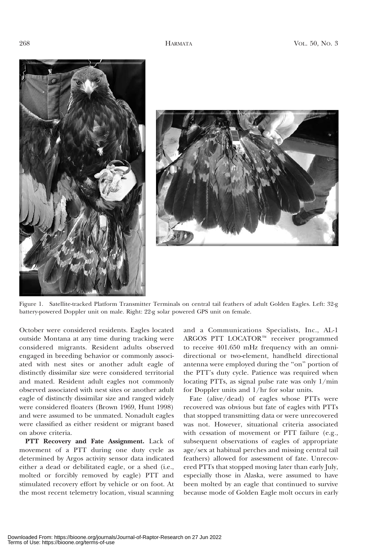



Figure 1. Satellite-tracked Platform Transmitter Terminals on central tail feathers of adult Golden Eagles. Left: 32-g battery-powered Doppler unit on male. Right: 22-g solar powered GPS unit on female.

October were considered residents. Eagles located outside Montana at any time during tracking were considered migrants. Resident adults observed engaged in breeding behavior or commonly associated with nest sites or another adult eagle of distinctly dissimilar size were considered territorial and mated. Resident adult eagles not commonly observed associated with nest sites or another adult eagle of distinctly dissimilar size and ranged widely were considered floaters (Brown 1969, Hunt 1998) and were assumed to be unmated. Nonadult eagles were classified as either resident or migrant based on above criteria.

PTT Recovery and Fate Assignment. Lack of movement of a PTT during one duty cycle as determined by Argos activity sensor data indicated either a dead or debilitated eagle, or a shed (i.e., molted or forcibly removed by eagle) PTT and stimulated recovery effort by vehicle or on foot. At the most recent telemetry location, visual scanning

and a Communications Specialists, Inc., AL-1 ARGOS PTT LOCATOR $^{\pi}$  receiver programmed to receive 401.650 mHz frequency with an omnidirectional or two-element, handheld directional antenna were employed during the ''on'' portion of the PTT's duty cycle. Patience was required when locating PTTs, as signal pulse rate was only 1/min for Doppler units and 1/hr for solar units.

Fate (alive/dead) of eagles whose PTTs were recovered was obvious but fate of eagles with PTTs that stopped transmitting data or were unrecovered was not. However, situational criteria associated with cessation of movement or PTT failure (e.g., subsequent observations of eagles of appropriate age/sex at habitual perches and missing central tail feathers) allowed for assessment of fate. Unrecovered PTTs that stopped moving later than early July, especially those in Alaska, were assumed to have been molted by an eagle that continued to survive because mode of Golden Eagle molt occurs in early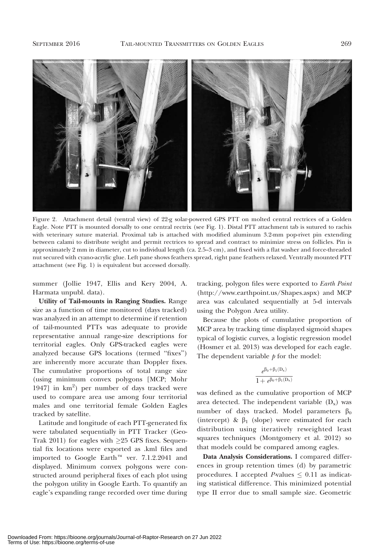

Figure 2. Attachment detail (ventral view) of 22-g solar-powered GPS PTT on molted central rectrices of a Golden Eagle. Note PTT is mounted dorsally to one central rectrix (see Fig. 1). Distal PTT attachment tab is sutured to rachis with veterinary suture material. Proximal tab is attached with modified aluminum 3.2-mm pop-rivet pin extending between calami to distribute weight and permit rectrices to spread and contract to minimize stress on follicles. Pin is approximately 2 mm in diameter, cut to individual length (ca. 2.5–3 cm), and fixed with a flat washer and force-threaded nut secured with cyano-acrylic glue. Left pane shows feathers spread, right pane feathers relaxed. Ventrally mounted PTT attachment (see Fig. 1) is equivalent but accessed dorsally.

summer (Jollie 1947, Ellis and Kery 2004, A. Harmata unpubl. data).

Utility of Tail-mounts in Ranging Studies. Range size as a function of time monitored (days tracked) was analyzed in an attempt to determine if retention of tail-mounted PTTs was adequate to provide representative annual range-size descriptions for territorial eagles. Only GPS-tracked eagles were analyzed because GPS locations (termed ''fixes'') are inherently more accurate than Doppler fixes. The cumulative proportions of total range size (using minimum convex polygons [MCP; Mohr 1947] in km<sup>2</sup>) per number of days tracked were used to compare area use among four territorial males and one territorial female Golden Eagles tracked by satellite.

Latitude and longitude of each PTT-generated fix were tabulated sequentially in PTT Tracker (Geo-Trak 2011) for eagles with  $\geq$  25 GPS fixes. Sequential fix locations were exported as .kml files and imported to Google Earth<sup> $m$ </sup> ver. 7.1.2.2041 and displayed. Minimum convex polygons were constructed around peripheral fixes of each plot using the polygon utility in Google Earth. To quantify an eagle's expanding range recorded over time during

tracking, polygon files were exported to Earth Point (http://www.earthpoint.us/Shapes.aspx) and MCP area was calculated sequentially at 5-d intervals using the Polygon Area utility.

Because the plots of cumulative proportion of MCP area by tracking time displayed sigmoid shapes typical of logistic curves, a logistic regression model (Hosmer et al. 2013) was developed for each eagle. The dependent variable  $p$  for the model:

$$
\frac{e^{\beta_0+\beta_1(D_x)}}{1+e^{\beta_0+\beta_1(D_x)}}
$$

was defined as the cumulative proportion of MCP area detected. The independent variable  $(D_x)$  was number of days tracked. Model parameters  $\beta_0$ (intercept) &  $\beta_1$  (slope) were estimated for each distribution using iteratively reweighted least squares techniques (Montgomery et al. 2012) so that models could be compared among eagles.

Data Analysis Considerations. I compared differences in group retention times (d) by parametric procedures. I accepted *P*-values  $\leq 0.11$  as indicating statistical difference. This minimized potential type II error due to small sample size. Geometric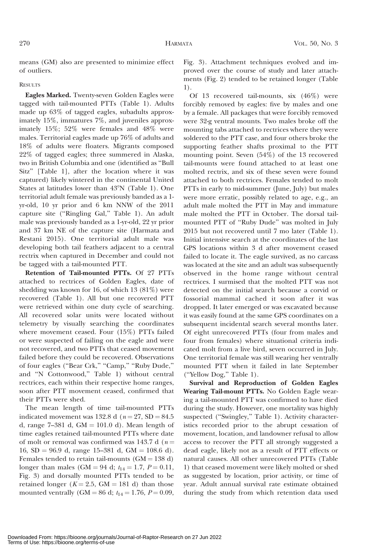means (GM) also are presented to minimize effect of outliers.

#### **RESULTS**

Eagles Marked. Twenty-seven Golden Eagles were tagged with tail-mounted PTTs (Table 1). Adults made up 63% of tagged eagles, subadults approximately 15%, immatures 7%, and juveniles approximately 15%; 52% were females and 48% were males. Territorial eagles made up 76% of adults and 18% of adults were floaters. Migrants composed 22% of tagged eagles; three summered in Alaska, two in British Columbia and one (identified as ''Bull Sitz'' [Table 1], after the location where it was captured) likely wintered in the continental United States at latitudes lower than 43°N (Table 1). One territorial adult female was previously banded as a 1 yr-old, 10 yr prior and 6 km NNW of the 2011 capture site (''Ringling Gal,'' Table 1). An adult male was previously banded as a 1-yr-old, 22 yr prior and 37 km NE of the capture site (Harmata and Restani 2015). One territorial adult male was developing both tail feathers adjacent to a central rectrix when captured in December and could not be tagged with a tail-mounted PTT.

Retention of Tail-mounted PTTs. Of 27 PTTs attached to rectrices of Golden Eagles, date of shedding was known for 16, of which 13 (81%) were recovered (Table 1). All but one recovered PTT were retrieved within one duty cycle of searching. All recovered solar units were located without telemetry by visually searching the coordinates where movement ceased. Four (15%) PTTs failed or were suspected of failing on the eagle and were not recovered, and two PTTs that ceased movement failed before they could be recovered. Observations of four eagles ("Bear Crk," "Camp," "Ruby Dude," and ''N Cottonwood,'' Table 1) without central rectrices, each within their respective home ranges, soon after PTT movement ceased, confirmed that their PTTs were shed.

The mean length of time tail-mounted PTTs indicated movement was 132.8 d ( $n = 27$ , SD = 84.5) d, range  $7-381$  d,  $GM = 101.0$  d). Mean length of time eagles retained tail-mounted PTTs where date of molt or removal was confirmed was 143.7 d ( $n =$ 16, SD = 96.9 d, range 15–381 d, GM = 108.6 d). Females tended to retain tail-mounts  $(GM = 138 d)$ longer than males (GM = 94 d;  $t_{14} = 1.7$ ,  $P = 0.11$ , Fig. 3) and dorsally mounted PTTs tended to be retained longer ( $K = 2.5$ ,  $GM = 181$  d) than those mounted ventrally (GM = 86 d;  $t_{14} = 1.76$ ,  $P = 0.09$ , Fig. 3). Attachment techniques evolved and improved over the course of study and later attachments (Fig. 2) tended to be retained longer (Table 1).

Of 13 recovered tail-mounts, six (46%) were forcibly removed by eagles: five by males and one by a female. All packages that were forcibly removed were 32-g ventral mounts. Two males broke off the mounting tabs attached to rectrices where they were soldered to the PTT case, and four others broke the supporting feather shafts proximal to the PTT mounting point. Seven (54%) of the 13 recovered tail-mounts were found attached to at least one molted rectrix, and six of these seven were found attached to both rectrices. Females tended to molt PTTs in early to mid-summer (June, July) but males were more erratic, possibly related to age, e.g., an adult male molted the PTT in May and immature male molted the PTT in October. The dorsal tailmounted PTT of ''Ruby Dude'' was molted in July 2015 but not recovered until 7 mo later (Table 1). Initial intensive search at the coordinates of the last GPS locations within 3 d after movement ceased failed to locate it. The eagle survived, as no carcass was located at the site and an adult was subsequently observed in the home range without central rectrices. I surmised that the molted PTT was not detected on the initial search because a corvid or fossorial mammal cached it soon after it was dropped. It later emerged or was excavated because it was easily found at the same GPS coordinates on a subsequent incidental search several months later. Of eight unrecovered PTTs (four from males and four from females) where situational criteria indicated molt from a live bird, seven occurred in July. One territorial female was still wearing her ventrally mounted PTT when it failed in late September (''Yellow Dog,'' Table 1).

Survival and Reproduction of Golden Eagles Wearing Tail-mount PTTs. No Golden Eagle wearing a tail-mounted PTT was confirmed to have died during the study. However, one mortality was highly suspected ("Swingley," Table 1). Activity characteristics recorded prior to the abrupt cessation of movement, location, and landowner refusal to allow access to recover the PTT all strongly suggested a dead eagle, likely not as a result of PTT effects or natural causes. All other unrecovered PTTs (Table 1) that ceased movement were likely molted or shed as suggested by location, prior activity, or time of year. Adult annual survival rate estimate obtained during the study from which retention data used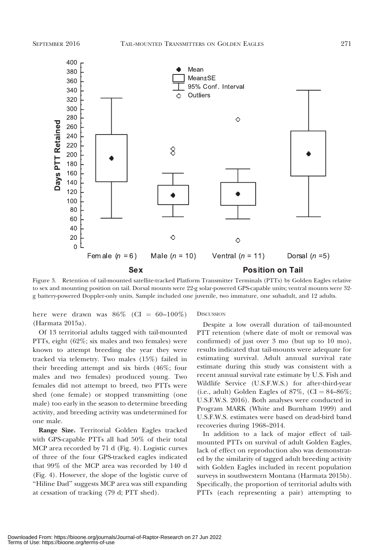

Figure 3. Retention of tail-mounted satellite-tracked Platform Transmitter Terminals (PTTs) by Golden Eagles relative to sex and mounting position on tail. Dorsal mounts were 22-g solar-powered GPS-capable units; ventral mounts were 32 g battery-powered Doppler-only units. Sample included one juvenile, two immature, one subadult, and 12 adults.

here were drawn was  $86\%$  (CI = 60-100%) (Harmata 2015a).

Of 13 territorial adults tagged with tail-mounted PTTs, eight (62%; six males and two females) were known to attempt breeding the year they were tracked via telemetry. Two males (15%) failed in their breeding attempt and six birds (46%; four males and two females) produced young. Two females did not attempt to breed, two PTTs were shed (one female) or stopped transmitting (one male) too early in the season to determine breeding activity, and breeding activity was undetermined for one male.

Range Size. Territorial Golden Eagles tracked with GPS-capable PTTs all had 50% of their total MCP area recorded by 71 d (Fig. 4). Logistic curves of three of the four GPS-tracked eagles indicated that 99% of the MCP area was recorded by 140 d (Fig. 4). However, the slope of the logistic curve of ''Hiline Dad'' suggests MCP area was still expanding at cessation of tracking (79 d; PTT shed).

**DISCUSSION** 

Despite a low overall duration of tail-mounted PTT retention (where date of molt or removal was confirmed) of just over 3 mo (but up to 10 mo), results indicated that tail-mounts were adequate for estimating survival. Adult annual survival rate estimate during this study was consistent with a recent annual survival rate estimate by U.S. Fish and Wildlife Service (U.S.F.W.S.) for after-third-year (i.e., adult) Golden Eagles of  $87\%$ , (CI =  $84-86\%$ ; U.S.F.W.S. 2016). Both analyses were conducted in Program MARK (White and Burnham 1999) and U.S.F.W.S. estimates were based on dead-bird band recoveries during 1968–2014.

In addition to a lack of major effect of tailmounted PTTs on survival of adult Golden Eagles, lack of effect on reproduction also was demonstrated by the similarity of tagged adult breeding activity with Golden Eagles included in recent population surveys in southwestern Montana (Harmata 2015b). Specifically, the proportion of territorial adults with PTTs (each representing a pair) attempting to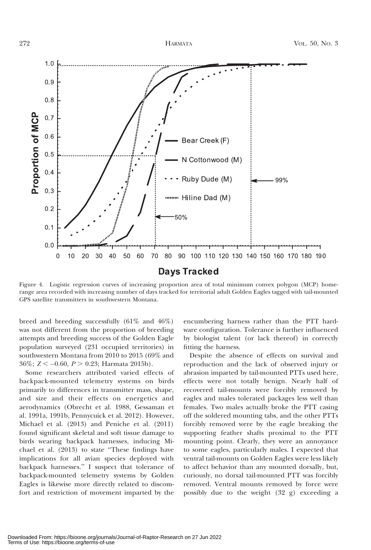

Figure 4. Logistic regression curves of increasing proportion area of total minimum convex polygon (MCP) homerange area recorded with increasing number of days tracked for territorial adult Golden Eagles tagged with tail-mounted GPS satellite transmitters in southwestern Montana.

breed and breeding successfully (61% and 46%) was not different from the proportion of breeding attempts and breeding success of the Golden Eagle population surveyed (231 occupied territories) in southwestern Montana from 2010 to 2015 (69% and 36%;  $Z < -0.60$ ,  $P > 0.23$ ; Harmata 2015b).

Some researchers attributed varied effects of backpack-mounted telemetry systems on birds primarily to differences in transmitter mass, shape, and size and their effects on energetics and aerodynamics (Obrecht et al. 1988, Gessaman et al. 1991a, 1991b, Pennycuick et al. 2012). However, Michael et al. (2013) and Peniche et al. (2011) found significant skeletal and soft tissue damage to birds wearing backpack harnesses, inducing Michael et al. (2013) to state ''These findings have implications for all avian species deployed with backpack harnesses.'' I suspect that tolerance of backpack-mounted telemetry systems by Golden Eagles is likewise more directly related to discomfort and restriction of movement imparted by the

encumbering harness rather than the PTT hardware configuration. Tolerance is further influenced by biologist talent (or lack thereof) in correctly fitting the harness.

Despite the absence of effects on survival and reproduction and the lack of observed injury or abrasion imparted by tail-mounted PTTs used here, effects were not totally benign. Nearly half of recovered tail-mounts were forcibly removed by eagles and males tolerated packages less well than females. Two males actually broke the PTT casing off the soldered mounting tabs, and the other PTTs forcibly removed were by the eagle breaking the supporting feather shafts proximal to the PTT mounting point. Clearly, they were an annoyance to some eagles, particularly males. I expected that ventral tail-mounts on Golden Eagles were less likely to affect behavior than any mounted dorsally, but, curiously, no dorsal tail-mounted PTT was forcibly removed. Ventral mounts removed by force were possibly due to the weight (32 g) exceeding a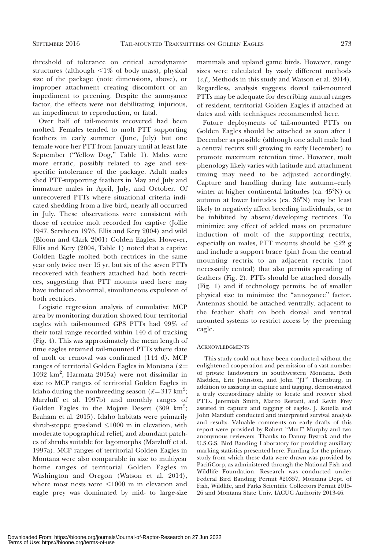threshold of tolerance on critical aerodynamic structures (although  $\leq 1\%$  of body mass), physical size of the package (note dimensions, above), or improper attachment creating discomfort or an impediment to preening. Despite the annoyance factor, the effects were not debilitating, injurious, an impediment to reproduction, or fatal.

Over half of tail-mounts recovered had been molted. Females tended to molt PTT supporting feathers in early summer (June, July) but one female wore her PTT from January until at least late September (''Yellow Dog,'' Table 1). Males were more erratic, possibly related to age and sexspecific intolerance of the package. Adult males shed PTT-supporting feathers in May and July and immature males in April, July, and October. Of unrecovered PTTs where situational criteria indicated shedding from a live bird, nearly all occurred in July. These observations were consistent with those of rectrice molt recorded for captive (Jollie 1947, Servheen 1976, Ellis and Kery 2004) and wild (Bloom and Clark 2001) Golden Eagles. However, Ellis and Kery (2004, Table 1) noted that a captive Golden Eagle molted both rectrices in the same year only twice over 15 yr, but six of the seven PTTs recovered with feathers attached had both rectrices, suggesting that PTT mounts used here may have induced abnormal, simultaneous expulsion of both rectrices.

Logistic regression analysis of cumulative MCP area by monitoring duration showed four territorial eagles with tail-mounted GPS PTTs had 99% of their total range recorded within 140 d of tracking (Fig. 4). This was approximately the mean length of time eagles retained tail-mounted PTTs where date of molt or removal was confirmed (144 d). MCP ranges of territorial Golden Eagles in Montana ( $\bar{x}$ = 1032 km<sup>2</sup> , Harmata 2015a) were not dissimilar in size to MCP ranges of territorial Golden Eagles in Idaho during the nonbreeding season ( $\bar{x}$ =317 km<sup>2</sup>; Marzluff et al. 1997b) and monthly ranges of Golden Eagles in the Mojave Desert  $(309 \text{ km}^2;$ Braham et al. 2015). Idaho habitats were primarily shrub-steppe grassland  $\leq 1000$  m in elevation, with moderate topographical relief, and abundant patches of shrubs suitable for lagomorphs (Marzluff et al. 1997a). MCP ranges of territorial Golden Eagles in Montana were also comparable in size to multiyear home ranges of territorial Golden Eagles in Washington and Oregon (Watson et al. 2014), where most nests were  $\leq$ 1000 m in elevation and eagle prey was dominated by mid- to large-size mammals and upland game birds. However, range sizes were calculated by vastly different methods (c.f., Methods in this study and Watson et al. 2014). Regardless, analysis suggests dorsal tail-mounted PTTs may be adequate for describing annual ranges of resident, territorial Golden Eagles if attached at dates and with techniques recommended here.

Future deployments of tail-mounted PTTs on Golden Eagles should be attached as soon after 1 December as possible (although one adult male had a central rectrix still growing in early December) to promote maximum retention time. However, molt phenology likely varies with latitude and attachment timing may need to be adjusted accordingly. Capture and handling during late autumn–early winter at higher continental latitudes (ca. 45°N) or autumn at lower latitudes (ca.  $36^{\circ}$ N) may be least likely to negatively affect breeding individuals, or to be inhibited by absent/developing rectrices. To minimize any effect of added mass on premature induction of molt of the supporting rectrix, especially on males, PTT mounts should be  $\leq$ 22 g and include a support brace (pin) from the central mounting rectrix to an adjacent rectrix (not necessarily central) that also permits spreading of feathers (Fig. 2). PTTs should be attached dorsally (Fig. 1) and if technology permits, be of smaller physical size to minimize the ''annoyance'' factor. Antennas should be attached ventrally, adjacent to the feather shaft on both dorsal and ventral mounted systems to restrict access by the preening eagle.

#### **ACKNOWLEDGMENTS**

This study could not have been conducted without the enlightened cooperation and permission of a vast number of private landowners in southwestern Montana. Beth Madden, Eric Johnston, and John ''JT'' Thornburg, in addition to assisting in capture and tagging, demonstrated a truly extraordinary ability to locate and recover shed PTTs. Jeremiah Smith, Marco Restani, and Kevin Frey assisted in capture and tagging of eagles. J. Rotella and John Marzluff conducted and interpreted survival analysis and results. Valuable comments on early drafts of this report were provided by Robert ''Murf'' Murphy and two anonymous reviewers. Thanks to Danny Bystrak and the U.S.G.S. Bird Banding Laboratory for providing auxiliary marking statistics presented here. Funding for the primary study from which these data were drawn was provided by PacifiCorp, as administered through the National Fish and Wildlife Foundation. Research was conducted under Federal Bird Banding Permit #20357, Montana Dept. of Fish, Wildlife, and Parks Scientific Collectors Permit 2015- 26 and Montana State Univ. IACUC Authority 2013-46.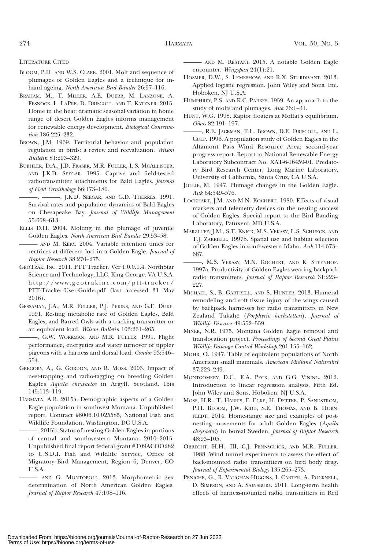LITERATURE CITED

- BLOOM, P.H. AND W.S. CLARK. 2001. Molt and sequence of plumages of Golden Eagles and a technique for inhand ageing. North American Bird Bander 26:97-116.
- BRAHAM, M., T. MILLER, A.E. DUERR, M. LANZONE, A. FESNOCK, L. LAPRE, D. DRISCOLL, AND T. KATZNER. 2015. Home in the heat: dramatic seasonal variation in home range of desert Golden Eagles informs management for renewable energy development. Biological Conservation 186:225–232.
- BROWN, J.M. 1969. Territorial behavior and population regulation in birds: a review and reevaluation. Wilson Bulletin 81:293–329.
- BUEHLER, D.A., J.D. FRASER, M.R. FULLER, L.S. MCALLISTER, AND J.K.D. SEEGAR. 1995. Captive and field-tested radiotransmitter attachments for Bald Eagles. Journal of Field Ornithology 66:173–180.
	- -, ----, J.K.D. SEEGAR, AND G.D. THERRES. 1991. Survival rates and population dynamics of Bald Eagles on Chesapeake Bay. Journal of Wildlife Management 55:608–613.
- ELLIS D.H. 2004. Molting in the plumage of juvenile Golden Eagles. North American Bird Bander 29:53–58.
- ——— AND M. KERY. 2004. Variable retention times for rectrices at different loci in a Golden Eagle. Journal of Raptor Research 38:270–275.
- GEOTRAK, INC. 2011. PTT Tracker. Ver 1.0.0.1.4. NorthStar Science and Technology, LLC, King George, VA U.S.A. http://www.geotrakinc.com/ptt-tracker/ PTT-Tracker-User-Guide.pdf (last accessed 31 May 2016).
- GESSAMAN, J.A., M.R. FULLER, P.J. PEKINS, AND G.E. DUKE. 1991. Resting metabolic rate of Golden Eagles, Bald Eagles, and Barred Owls with a tracking transmitter or an equivalent load. Wilson Bulletin 103:261–265.
	- ———, G.W. WORKMAN, AND M.R. FULLER. 1991. Flight performance, energetics and water turnover of tippler pigeons with a harness and dorsal load. Condor 93:546– 554.
- GREGORY, A., G. GORDON, AND R. MOSS. 2003. Impact of nest-trapping and radio-tagging on breeding Golden Eagles Aquila chrysaetos in Argyll, Scotland. Ibis 145:113–119.
- HARMATA, A.R. 2015a. Demographic aspects of a Golden Eagle population in southwest Montana. Unpublished report, Contract #8006.10.025585, National Fish and Wildlife Foundation, Washington, DC U.S.A.

———. 2015b. Status of nesting Golden Eagles in portions of central and southwestern Montana: 2010–2015. Unpublished final report federal grant # F09ACOO282 to U.S.D.I. Fish and Wildlife Service, Office of Migratory Bird Management, Region 6, Denver, CO U.S.A.

——— AND G. MONTOPOLI. 2013. Morphometric sex determination of North American Golden Eagles. Journal of Raptor Research 47:108–116.

——— AND M. RESTANI. 2015. A notable Golden Eagle encounter. Wingspan 24(1):21.

- HOSMER, D.W., S. LEMESHOW, AND R.X. STURDIVANT. 2013. Applied logistic regression. John Wiley and Sons, Inc. Hoboken, NJ U.S.A.
- HUMPHREY, P.S. AND K.C. PARKES. 1959. An approach to the study of molts and plumages. Auk 76:1–31.
- HUNT, W.G. 1998. Raptor floaters at Moffat's equilibrium. Oikos 82:191–197.
- ———, R.E. JACKMAN, T.L. BROWN, D.E. DRISCOLL, AND L. CULP. 1996. A population study of Golden Eagles in the Altamont Pass Wind Resource Area; second-year progress report. Report to National Renewable Energy Laboratory Subcontract No. XAT-6-16459-01. Predatory Bird Research Center, Long Marine Laboratory, University of California, Santa Cruz, CA U.S.A.
- JOLLIE, M. 1947. Plumage changes in the Golden Eagle. Auk 64:549–576.
- LOCKHART, J.M. AND M.N. KOCHERT. 1980. Effects of visual markers and telemetry devices on the nesting success of Golden Eagles. Special report to the Bird Banding Laboratory, Patuxent, MD U.S.A.
- MARZLUFF, J.M., S.T. KNICK, M.S. VEKASY, L.S. SCHUECK, AND T.J. ZARRIELL. 1997b. Spatial use and habitat selection of Golden Eagles in southwestern Idaho. Auk 114:673– 687.
	- -, M.S. VEKASY, M.N. KOCHERT, AND K. STEENHOF. 1997a. Productivity of Golden Eagles wearing backpack radio transmitters. Journal of Raptor Research 31:223– 227.
- MICHAEL, S., B. GARTRELL, AND S. HUNTER. 2013. Humeral remodeling and soft tissue injury of the wings caused by backpack harnesses for radio transmitters in New Zealand Takahē (Porphyrio hochstetteri). Journal of Wildlife Diseases 49:552–559.
- MINER, N.R. 1975. Montana Golden Eagle removal and translocation project. Proceedings of Second Great Plains Wildlife Damage Control Workshop 201:155–162.
- MOHR, O. 1947. Table of equivalent populations of North American small mammals. American Midland Naturalist 37:223–249.
- MONTGOMERY, D.C., E.A. PECK, AND G.G. VINING. 2012. Introduction to linear regression analysis, Fifth Ed. John Wiley and Sons, Hoboken, NJ U.S.A.
- MOSS, H.R., T. HARRIS, F. ECKE, H. DETTKE, P. SANDSTROM, P.H. BLOOM, J.W. KIDD, S.E. THOMAS, AND B. HORN-FELDT. 2014. Home-range size and examples of postnesting movements for adult Golden Eagles (Aquila chrysaetos) in boreal Sweden. Journal of Raptor Research 48:93–105.
- OBRECHT, H.H., III, C.J. PENNYCUICK, AND M.R. FULLER. 1988. Wind tunnel experiments to assess the effect of back-mounted radio transmitters on bird body drag. Journal of Experimental Biology 135:265–273.
- PENICHE, G., R. VAUGHAN-HIGGINS, I. CARTER, A. POCKNELL, D. SIMPSON, AND A. SAINSBURY. 2011. Long-term health effects of harness-mounted radio transmitters in Red